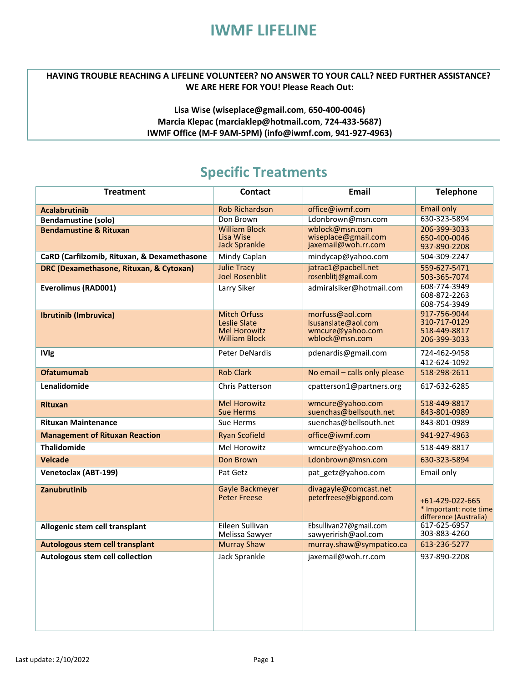# **IWMF LIFELINE**

#### **HAVING TROUBLE REACHING A LIFELINE VOLUNTEER? NO ANSWER TO YOUR CALL? NEED FURTHER ASSISTANCE? WE ARE HERE FOR YOU! Please Reach Out:**

### **Lisa W**i**s[e \(wiseplace@gmail.com](mailto:(wiseplace@gmail.com)**, **650-400-0046) Marcia Klepac [\(marciaklep@hotmail.com](mailto:(marciaklep@hotmail.com)**, **724-433-5687) IWMF Office (M-F 9AM-5PM) (info@iwmf.com**, **941-927-4963)**

### **Specific Treatments**

| <b>Treatment</b>                            | <b>Contact</b>                                                                     | <b>Email</b>                                                                 | <b>Telephone</b>                                                    |
|---------------------------------------------|------------------------------------------------------------------------------------|------------------------------------------------------------------------------|---------------------------------------------------------------------|
| <b>Acalabrutinib</b>                        | <b>Rob Richardson</b>                                                              | office@iwmf.com                                                              | <b>Email only</b>                                                   |
| <b>Bendamustine (solo)</b>                  | Don Brown                                                                          | Ldonbrown@msn.com                                                            | 630-323-5894                                                        |
| <b>Bendamustine &amp; Rituxan</b>           | <b>William Block</b><br>Lisa Wise<br><b>Jack Sprankle</b>                          | wblock@msn.com<br>wiseplace@gmail.com<br>jaxemail@woh.rr.com                 | 206-399-3033<br>650-400-0046<br>937-890-2208                        |
| CaRD (Carfilzomib, Rituxan, & Dexamethasone | Mindy Caplan                                                                       | mindycap@yahoo.com                                                           | 504-309-2247                                                        |
| DRC (Dexamethasone, Rituxan, & Cytoxan)     | <b>Julie Tracy</b><br><b>Joel Rosenblit</b>                                        | jatrac1@pacbell.net<br>rosenblitj@gmail.com                                  | 559-627-5471<br>503-365-7074                                        |
| <b>Everolimus (RAD001)</b>                  | Larry Siker                                                                        | admiralsiker@hotmail.com                                                     | 608-774-3949<br>608-872-2263<br>608-754-3949                        |
| <b>Ibrutinib (Imbruvica)</b>                | <b>Mitch Orfuss</b><br>Leslie Slate<br><b>Mel Horowitz</b><br><b>William Block</b> | morfuss@aol.com<br>Isusanslate@aol.com<br>wmcure@yahoo.com<br>wblock@msn.com | 917-756-9044<br>310-717-0129<br>518-449-8817<br>206-399-3033        |
| <b>IVIg</b>                                 | Peter DeNardis                                                                     | pdenardis@gmail.com                                                          | 724-462-9458<br>412-624-1092                                        |
| <b>Ofatumumab</b>                           | <b>Rob Clark</b>                                                                   | No email - calls only please                                                 | 518-298-2611                                                        |
| Lenalidomide                                | <b>Chris Patterson</b>                                                             | cpatterson1@partners.org                                                     | 617-632-6285                                                        |
| <b>Rituxan</b>                              | <b>Mel Horowitz</b><br><b>Sue Herms</b>                                            | wmcure@yahoo.com<br>suenchas@bellsouth.net                                   | 518-449-8817<br>843-801-0989                                        |
| <b>Rituxan Maintenance</b>                  | Sue Herms                                                                          | suenchas@bellsouth.net                                                       | 843-801-0989                                                        |
| <b>Management of Rituxan Reaction</b>       | <b>Ryan Scofield</b>                                                               | office@iwmf.com                                                              | 941-927-4963                                                        |
| <b>Thalidomide</b>                          | Mel Horowitz<br>wmcure@yahoo.com                                                   |                                                                              | 518-449-8817                                                        |
| <b>Velcade</b>                              | Don Brown                                                                          | Ldonbrown@msn.com                                                            | 630-323-5894                                                        |
| <b>Venetoclax (ABT-199)</b>                 | Pat Getz                                                                           | pat_getz@yahoo.com                                                           | Email only                                                          |
| Zanubrutinib                                | Gayle Backmeyer<br><b>Peter Freese</b>                                             | divagayle@comcast.net<br>peterfreese@bigpond.com                             | +61-429-022-665<br>* Important: note time<br>difference (Australia) |
| Allogenic stem cell transplant              | Eileen Sullivan<br>Melissa Sawyer                                                  | Ebsullivan27@gmail.com<br>sawyerirish@aol.com                                | 617-625-6957<br>303-883-4260                                        |
| Autologous stem cell transplant             | <b>Murray Shaw</b>                                                                 | murray.shaw@sympatico.ca                                                     | 613-236-5277                                                        |
| Autologous stem cell collection             | Jack Sprankle                                                                      | jaxemail@woh.rr.com                                                          | 937-890-2208                                                        |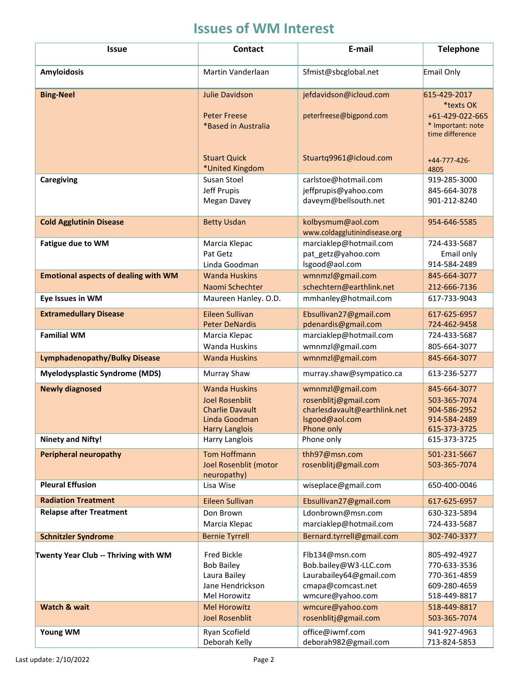# **Issues of WM Interest**

| <b>Issue</b>                                | <b>Contact</b>                                                                                                    | E-mail                                                                                                      | <b>Telephone</b>                                                                     |
|---------------------------------------------|-------------------------------------------------------------------------------------------------------------------|-------------------------------------------------------------------------------------------------------------|--------------------------------------------------------------------------------------|
| <b>Amyloidosis</b>                          | Martin Vanderlaan                                                                                                 | Sfmist@sbcglobal.net                                                                                        | Email Only                                                                           |
| <b>Bing-Neel</b>                            | <b>Julie Davidson</b><br><b>Peter Freese</b><br>*Based in Australia                                               | jefdavidson@icloud.com<br>peterfreese@bigpond.com                                                           | 615-429-2017<br>*texts OK<br>+61-429-022-665<br>* Important: note<br>time difference |
|                                             | <b>Stuart Quick</b><br>*United Kingdom                                                                            | Stuartq9961@icloud.com                                                                                      | $+44-777-426-$<br>4805                                                               |
| <b>Caregiving</b>                           | Susan Stoel<br><b>Jeff Prupis</b><br>Megan Davey                                                                  | carlstoe@hotmail.com<br>jeffprupis@yahoo.com<br>daveym@bellsouth.net                                        | 919-285-3000<br>845-664-3078<br>901-212-8240                                         |
| <b>Cold Agglutinin Disease</b>              | <b>Betty Usdan</b>                                                                                                | kolbysmum@aol.com<br>www.coldagglutinindisease.org                                                          | 954-646-5585                                                                         |
| <b>Fatigue due to WM</b>                    | Marcia Klepac<br>Pat Getz<br>Linda Goodman                                                                        | marciaklep@hotmail.com<br>pat_getz@yahoo.com<br>lsgood@aol.com                                              | 724-433-5687<br>Email only<br>914-584-2489                                           |
| <b>Emotional aspects of dealing with WM</b> | <b>Wanda Huskins</b><br>Naomi Schechter                                                                           | wmnmzl@gmail.com<br>schechtern@earthlink.net                                                                | 845-664-3077<br>212-666-7136                                                         |
| Eye Issues in WM                            | Maureen Hanley. O.D.                                                                                              | mmhanley@hotmail.com                                                                                        | 617-733-9043                                                                         |
| <b>Extramedullary Disease</b>               | <b>Eileen Sullivan</b><br><b>Peter DeNardis</b>                                                                   | Ebsullivan27@gmail.com<br>pdenardis@gmail.com                                                               | 617-625-6957<br>724-462-9458                                                         |
| <b>Familial WM</b>                          | Marcia Klepac<br><b>Wanda Huskins</b>                                                                             | marciaklep@hotmail.com<br>wmnmzl@gmail.com                                                                  | 724-433-5687<br>805-664-3077                                                         |
| <b>Lymphadenopathy/Bulky Disease</b>        | <b>Wanda Huskins</b>                                                                                              | wmnmzl@gmail.com                                                                                            | 845-664-3077                                                                         |
| <b>Myelodysplastic Syndrome (MDS)</b>       | Murray Shaw                                                                                                       | murray.shaw@sympatico.ca                                                                                    | 613-236-5277                                                                         |
| <b>Newly diagnosed</b>                      | <b>Wanda Huskins</b><br><b>Joel Rosenblit</b><br><b>Charlie Davault</b><br>Linda Goodman<br><b>Harry Langlois</b> | wmnmzl@gmail.com<br>rosenblitj@gmail.com<br>charlesdavault@earthlink.net<br>lsgood@aol.com<br>Phone only    | 845-664-3077<br>503-365-7074<br>904-586-2952<br>914-584-2489<br>615-373-3725         |
| <b>Ninety and Nifty!</b>                    | Harry Langlois                                                                                                    | Phone only                                                                                                  | 615-373-3725                                                                         |
| <b>Peripheral neuropathy</b>                | <b>Tom Hoffmann</b><br>Joel Rosenblit (motor<br>neuropathy)                                                       | thh97@msn.com<br>rosenblitj@gmail.com                                                                       | 501-231-5667<br>503-365-7074                                                         |
| <b>Pleural Effusion</b>                     | Lisa Wise                                                                                                         | wiseplace@gmail.com                                                                                         | 650-400-0046                                                                         |
| <b>Radiation Treatment</b>                  | Eileen Sullivan                                                                                                   | Ebsullivan27@gmail.com                                                                                      | 617-625-6957                                                                         |
| <b>Relapse after Treatment</b>              | Don Brown<br>Marcia Klepac                                                                                        | Ldonbrown@msn.com<br>marciaklep@hotmail.com                                                                 | 630-323-5894<br>724-433-5687                                                         |
| <b>Schnitzler Syndrome</b>                  | <b>Bernie Tyrrell</b>                                                                                             | Bernard.tyrrell@gmail.com                                                                                   | 302-740-3377                                                                         |
| Twenty Year Club -- Thriving with WM        | <b>Fred Bickle</b><br><b>Bob Bailey</b><br>Laura Bailey<br>Jane Hendrickson<br>Mel Horowitz                       | Flb134@msn.com<br>Bob.bailey@W3-LLC.com<br>Laurabailey64@gmail.com<br>cmapa@comcast.net<br>wmcure@yahoo.com | 805-492-4927<br>770-633-3536<br>770-361-4859<br>609-280-4659<br>518-449-8817         |
| <b>Watch &amp; wait</b>                     | <b>Mel Horowitz</b><br><b>Joel Rosenblit</b>                                                                      | wmcure@yahoo.com<br>rosenblitj@gmail.com                                                                    | 518-449-8817<br>503-365-7074                                                         |
| Young WM                                    | Ryan Scofield<br>Deborah Kelly                                                                                    | office@iwmf.com<br>deborah982@gmail.com                                                                     | 941-927-4963<br>713-824-5853                                                         |